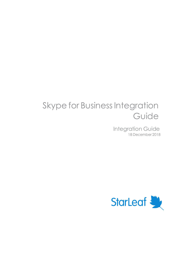# Skype for Business Integration Guide

Integration Guide 18 December 2018

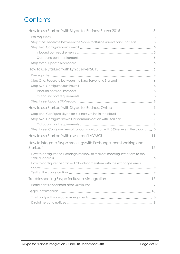# **Contents**

| How to use StarLeaf with Skype for Business Server 2015 3                          |  |
|------------------------------------------------------------------------------------|--|
|                                                                                    |  |
| Step One: Federate between the Skype for Business Server and StarLeaf  3           |  |
|                                                                                    |  |
|                                                                                    |  |
|                                                                                    |  |
|                                                                                    |  |
|                                                                                    |  |
|                                                                                    |  |
|                                                                                    |  |
|                                                                                    |  |
|                                                                                    |  |
|                                                                                    |  |
|                                                                                    |  |
|                                                                                    |  |
|                                                                                    |  |
|                                                                                    |  |
|                                                                                    |  |
| Step three: Configure firewall for communication with 365 servers in the cloud  10 |  |
|                                                                                    |  |
| How to integrate Skype meetings with Exchange room booking and                     |  |
|                                                                                    |  |
| How to configure the Exchange mailbox to redirect meeting invitations to the       |  |
| How to configure the StarLeaf Cloud room system with the exchange email            |  |
|                                                                                    |  |
|                                                                                    |  |
|                                                                                    |  |
|                                                                                    |  |
|                                                                                    |  |
|                                                                                    |  |
|                                                                                    |  |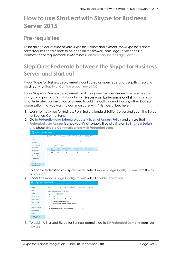# <span id="page-2-0"></span>**How to use StarLeaf with Skype for Business Server 2015**

#### <span id="page-2-1"></span>**Pre-requisites**

To be able to call outside of your Skype for Business deployment, the Skype for Business server requires certain ports to be open on the firewall. Your Edge Server needs to conform to the requirements in Microsoft's Port [summary](https://technet.microsoft.com/en-us/library/gg425891(v=ocs.15).aspx) for the Edge Server.

### <span id="page-2-2"></span>**Step One: Federate between the Skype for Business Server and StarLeaf**

If your Skype for Business deployment is configured as open federation, skip this step and go directly to Step two: [Configure](#page-4-0) your firewall (p5).

If your Skype for Business deployment is not configured as open federation, you need to add your organization's call.sl subdomain (<your organization name>.call.sl) among your list of federated partners. You also need to add the call.sl domain for any other StarLeaf organization that you want to communicate with. This is described here:

- 1. Log in to the Skype for Business Front End or Standard Edition Server and open the Skype for Business Control Panel.
- 2. Go to **Federation and External Access > External Access Policy** and ensure that **Federated User Access** is checked. If not, enable it by clicking on **Edit > Show Details** and check **Enable Communications with Federated users**.

| <b>Skype for Business Server</b><br>$\mathsf{(S)}$ |                                         |                                            |                                        |                                   |                                          |  |
|----------------------------------------------------|-----------------------------------------|--------------------------------------------|----------------------------------------|-----------------------------------|------------------------------------------|--|
| Home                                               | <b>EXTERNAL ACCESS</b><br><b>POLICY</b> | <b>ACCESS EDGE</b><br><b>CONFIGURATION</b> | <b>SIP FEDERATED</b><br><b>DOMAINS</b> | SIP FEDERATED<br><b>PROVIDERS</b> | <b>XMPP FEDERATED</b><br><b>PARTNERS</b> |  |
| <b>Users</b>                                       |                                         |                                            |                                        |                                   |                                          |  |
| Topology                                           |                                         |                                            |                                        | م                                 |                                          |  |
| IM and Presence                                    | <b>∕Edit ▼</b><br><b>ID</b> New ▼       | Refresh                                    |                                        |                                   |                                          |  |
| Persistent Chat                                    | Name<br>$\blacktriangle$                | Scope                                      | Federated user access                  | Remote user access                | Public provider access                   |  |
| <b>Voice Routing</b>                               | Global                                  | Global                                     | √                                      | √                                 | √                                        |  |
| <b>Voice Features</b>                              | 23 All                                  | User                                       | J                                      | J                                 | J                                        |  |
| Response Groups                                    |                                         |                                            |                                        |                                   |                                          |  |
| Conferencing                                       |                                         |                                            |                                        |                                   |                                          |  |
| Clients                                            |                                         |                                            |                                        |                                   |                                          |  |
| Federation and<br>External Accord                  |                                         |                                            |                                        |                                   |                                          |  |

- 3. To enable federation at a system level, select **Access Edge Configuration** from the top navigation.
- 4. Under **Edit Access Edge Configuration**: Select **Enable federation**.



5. To add the StarLeaf Skype for Business domain, go to **SIP Federated Domains** from top naviaation.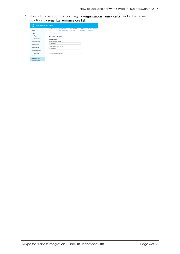6. Now add a new domain pointing to **<organization name>.call.sl** and edge server pointing to <organization name>.call.sl.

| S)<br><b>Skype for Business Server</b>   |                                                |                                            |                                        |                                          |                                          |
|------------------------------------------|------------------------------------------------|--------------------------------------------|----------------------------------------|------------------------------------------|------------------------------------------|
| Home                                     | <b>EXTERNAL ACCESS</b><br><b>POLICY</b>        | <b>ACCESS EDGE</b><br><b>CONFIGURATION</b> | <b>SIP FEDERATED</b><br><b>DOMAINS</b> | <b>SIP FEDERATED</b><br><b>PROVIDERS</b> | <b>XMPP FEDERATED</b><br><b>PARTNERS</b> |
| Users                                    | New SIP Federated Domains                      |                                            |                                        |                                          |                                          |
| <b>Topology</b>                          | <b>Commit</b>                                  | X Cancel                                   |                                        |                                          |                                          |
| IM and Presence                          | <b>Allowed domain</b>                          |                                            |                                        |                                          |                                          |
| Persistent Chat                          | Domain name (or FQDN): *                       |                                            |                                        |                                          |                                          |
| <b>Voice Routing</b>                     | example.call.sl                                |                                            |                                        |                                          |                                          |
| <b>Voice Features</b>                    | Access Edge service (FQDN):<br>example.call.sl |                                            |                                        |                                          |                                          |
| <b>Response Groups</b>                   | Comment:                                       |                                            |                                        |                                          |                                          |
| Conferencing                             | Example StarLeaf Organisation                  |                                            |                                        |                                          |                                          |
| <b>Clients</b>                           |                                                |                                            |                                        |                                          |                                          |
| Federation and<br><b>External Access</b> |                                                |                                            |                                        |                                          |                                          |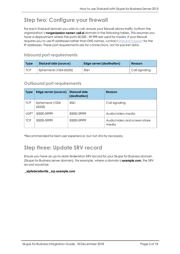## <span id="page-4-0"></span>**Step two: Configure your firewall**

For each StarLeaf domain you wish to call, ensure your firewall allows traffic to/from the organization's <organization name>.call.sl domain in the following tables. This assumes you have a deployment where the ports 50,000 - 59,999 are used for media. If your firewall requires you to use IP addresses rather than DNS names, contact [StarLeaf](mailto:support@starleaf.com) Support for the IP addresses. These port requirements are for connections, not for packet data.

#### <span id="page-4-1"></span>**Inbound port requirements**

| <b>Type</b> | StarLeaf side (source) | <b>Edge server (destination)</b> | Reason         |
|-------------|------------------------|----------------------------------|----------------|
| $\vert$ TCP | Ephemeral (1024-65535) | 5061                             | Call signaling |

#### <span id="page-4-2"></span>**Outbound port requirements**

| <b>Type</b> | Edge server (source)      | <b>StarLeaf side</b><br>(destination) | Reason                                |
|-------------|---------------------------|---------------------------------------|---------------------------------------|
| <b>TCP</b>  | Ephemeral (1024-<br>65535 | 5061                                  | Call signaling                        |
| $UDP^*$     | 50000-59999               | 50000-59999                           | Audio/video media                     |
| <b>TCP</b>  | 50000-59999               | 50000-59999                           | Audio/video and screen-share<br>media |

<span id="page-4-3"></span>\*Recommended for best user experience, but not strictly necessary.

#### **Step three: Update SRV record**

Ensure you have an up-to-date federation SRV record for your Skype for Business domain (Skype for Business server domain). For example, where a domain is **example.com**, the SRV record would be:

#### \_sipfederationtls.\_tcp.example.com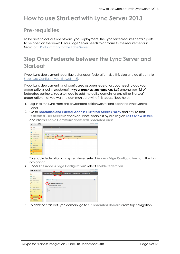# <span id="page-5-1"></span><span id="page-5-0"></span>**How to use StarLeaf with Lync Server 2013**

## **Pre-requisites**

To be able to call outside of your Lync deployment, the Lync server requires certain ports to be open on the firewall. Your Edge Server needs to conform to the requirements in Microsoft's Port [summary](https://technet.microsoft.com/en-us/library/gg425891(v=ocs.15).aspx) for the Edge Server.

### <span id="page-5-2"></span>**Step One: Federate between the Lync Server and StarLeaf**

If your Lync deployment is configured as open federation, skip this step and go directly to Step two: [Configure](#page-7-0) your firewall (p8).

If your Lync deployment is not configured as open federation, you need to add your organization's call.sl subdomain (**<your organization name>.call.sl**) among your list of federated partners. You also need to add the call.sl domain for any other StarLeaf organization that you want to communicate with. This is described here:

- 1. Log in to the Lync Front End or Standard Edition Server and open the Lync Control Panel.
- 2. Go to **Federation and External Access > External Access Policy** and ensure that **Federated User Access** is checked. If not, enable it by clicking on **Edit > Show Details** and check **Enable Communications with Federated users**.

|                             | Lync Server 2013                         |                        |                                            |                       |                         |                         | Administrator Sign out           |
|-----------------------------|------------------------------------------|------------------------|--------------------------------------------|-----------------------|-------------------------|-------------------------|----------------------------------|
|                             |                                          |                        |                                            |                       |                         |                         | 5.0.8308.556   Privacy statement |
| a                           | Home                                     | External Access Policy | Access Edge Configuration                  | SIP Federated Domains | SIP Federated Providers | XMPP Federated Partners |                                  |
| 22.                         | Users                                    |                        |                                            |                       |                         |                         |                                  |
|                             | <b>N</b> Topology                        |                        |                                            |                       | م                       |                         |                                  |
| $\Box$                      | IM and Presence                          | +New ▼ / Edit ▼        | <b>Refresh</b>                             |                       |                         |                         | $\overline{a}$                   |
| $\mathcal{P}$               | Persistent Chat                          | Name.                  | Federated user access<br>$\triangle$ Scope | Remote user access    | Public provider access  |                         |                                  |
| 蚀                           | Voice Routing                            | Global                 | Global                                     | $\checkmark$          | $\checkmark$            |                         |                                  |
| $\mathcal{L}_{\mathcal{A}}$ | Voice Features                           |                        |                                            |                       |                         |                         |                                  |
| 23.                         | Response Groups                          |                        |                                            |                       |                         |                         |                                  |
| Q)                          | Conferencing                             |                        |                                            |                       |                         |                         |                                  |
| 冊                           | <b>Clients</b>                           |                        |                                            |                       |                         |                         |                                  |
| ß.                          | Federation and<br><b>External Access</b> |                        |                                            |                       |                         |                         |                                  |
| 匫                           | Monitoring<br>and Andrieden              |                        |                                            |                       |                         |                         |                                  |

- 3. To enable federation at a system level, select **Access Edge Configuration** from the top navigation.
- 4. Under **Edit Access Edge Configuration**: Select **Enable federation**.



5. To add the StarLeaf Lync domain, go to **SIP Federated Domains** from top navigation.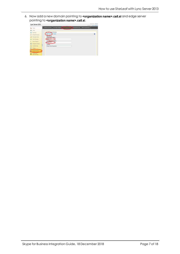6. Now add a new domain pointing to **<organization name>.call.sl** and edge server pointing to <organization name>.call.sl.

|         | Lync Server 2013                         |                                                   |                           |                                                 |                         | Administrator   Sign out         |
|---------|------------------------------------------|---------------------------------------------------|---------------------------|-------------------------------------------------|-------------------------|----------------------------------|
|         |                                          |                                                   |                           |                                                 |                         | 5.0.8308.556   Privacy statement |
| 棆       | Home                                     | <b>External Access Policy</b>                     | Access Edge Configuration | SIP Federated Domains   a P Federated Providers | XMPP Federated Partners |                                  |
| 23.     | Users                                    |                                                   |                           |                                                 |                         |                                  |
| 题       | Topology                                 | New Off Coderated Domains                         |                           |                                                 |                         |                                  |
| $\Box$  | IM and Presence                          | <b>Commit</b>                                     | X Cancel                  |                                                 |                         | $\boldsymbol{\Omega}$            |
| $\circ$ | Persistent Chat                          | <b>Allowed</b> domain<br>Domain name (or FQDN): * |                           |                                                 |                         |                                  |
| 啓       | Voice Routing                            | example.call.sl                                   |                           |                                                 |                         |                                  |
| R,      | Voice Features                           | Access Edge service (FQDN):<br>example.call.sl    |                           |                                                 |                         |                                  |
| 32      | Response Groups                          | Comment:                                          |                           |                                                 |                         |                                  |
| ⊕       | Conferencing                             | Example StarLeaf consmission                      |                           |                                                 |                         |                                  |
| e       | <b>Clients</b>                           |                                                   |                           |                                                 |                         |                                  |
| Ī.      | Federation and<br><b>External Access</b> |                                                   |                           |                                                 |                         |                                  |
|         | Monitoring<br>and Archiving              |                                                   |                           |                                                 |                         |                                  |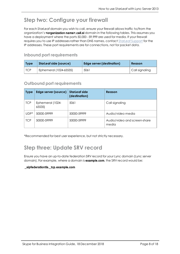## <span id="page-7-0"></span>**Step two: Configure your firewall**

For each StarLeaf domain you wish to call, ensure your firewall allows traffic to/from the organization's <organization name>.call.sl domain in the following tables. This assumes you have a deployment where the ports 50,000 - 59,999 are used for media. If your firewall requires you to use IP addresses rather than DNS names, contact [StarLeaf](mailto:support@starleaf.com) Support for the IP addresses. These port requirements are for connections, not for packet data.

#### <span id="page-7-1"></span>**Inbound port requirements**

| <b>Type</b> | StarLeaf side (source) | <b>Edge server (destination)</b> | Reason         |
|-------------|------------------------|----------------------------------|----------------|
| $\vert$ TCP | Ephemeral (1024-65535) | 5061                             | Call signaling |

#### <span id="page-7-2"></span>**Outbound port requirements**

| <b>Type</b> | Edge server (source)      | <b>StarLeaf side</b><br>(destination) | Reason                                |
|-------------|---------------------------|---------------------------------------|---------------------------------------|
| <b>TCP</b>  | Ephemeral (1024-<br>65535 | 5061                                  | Call signaling                        |
| $UDP^*$     | 50000-59999               | 50000-59999                           | Audio/video media                     |
| <b>TCP</b>  | 50000-59999               | 50000-59999                           | Audio/video and screen-share<br>media |

<span id="page-7-3"></span>\*Recommended for best user experience, but not strictly necessary.

#### **Step three: Update SRV record**

Ensure you have an up-to-date federation SRV record for your Lync domain (Lync server domain). For example, where a domain is **example.com**, the SRV record would be:

\_sipfederationtls.\_tcp.example.com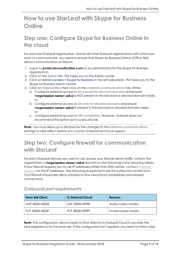# <span id="page-8-0"></span>**How to use StarLeaf with Skype for Business Online**

### <span id="page-8-1"></span>**Step one: Configure Skype for Business Online in the cloud**

For your own StarLeaf organization, and for all other StarLeaf organizations with which you want to communicate, you need to ensure that Skype for Business Online (Office 365) allows communication as follows:

- 1. Log in to **portal.microsoftonline.com** as an administrator for the Skype for Business organization.
- 2. Click on the **Admin** tile. This takes you to the Admin center.
- 3. Click on **Admin centers > Skype for Business** in the left-side panel. This takes you to the Skype for Business admin center.
- 4. Click on **Organization** then click on the **external communications** tab. Either:
	- a. Configure external access to **On except for blocked domains** and ensure **<organization name>.call.sl** is NOT present in the blocked or allowed domains table. or
	- b. Configure external access to **On only for allowed domains** and ensure <organization name>.call.sl IS present in the blocked or allowed domains table. or
	- c. Configure external access to **Off completely**. However, StarLeaf does not recommend this option as it is a security risk.

**Note:** You must allow up to 24 hours for the changes to the **external communications** settings to take effect before you contact StarLeaf technical support.

### <span id="page-8-2"></span>**Step two: Configure firewall for communication with StarLeaf**

For each StarLeaf domain you wish to call, ensure your firewall allows traffic to/from the organization's **<organization name>.call.sl** domain on the following in the following tables. If your firewall requires you to use IP addresses rather than DNS names, contact [StarLeaf](mailto:support@starleaf.com) [Support](mailto:support@starleaf.com) for the IP addresses. The following requirements are for outbound connections. Your firewall should also allow packets to flow inbound on established and related connections.

#### <span id="page-8-3"></span>**Outbound port requirements**

| From 365 Client   | To StarLeaf Cloud | Reason               |
|-------------------|-------------------|----------------------|
| UDP 50000-50059   | UDP 50000-59999   | Audio/video media    |
| I TCP 50000-50059 | TCP 50000-59999   | l Screen-share media |

**Note:** This configuration allows media to flow directly to StarLeaf Cloud to provide the best experience for the end user. If this configuration isn't applied, you need to follow step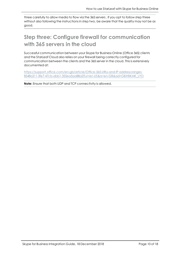three carefully to allow media to flow via the 365 servers . If you opt to follow step three without also following the instructions in step two, be aware that the quality may not be as good.

#### <span id="page-9-0"></span>**Step three: Configure firewall for communication with 365 servers in the cloud**

Successful communication between your Skype for Business Online (Office 365) clients and the StarLeaf Cloud also relies on your firewall being correctly configured for communication between the clients and the 365 server in the cloud. This is extensively documented at:

[https://support.office.com/en-gb/article/Office-365-URLs-and-IP-address-ranges-](https://support.office.com/en-gb/article/Office-365-URLs-and-IP-address-ranges-8548a211-3fe7-47cb-abb1-355ea5aa88a2?ui=en-US&rs=en-GB&ad=GB#BKMK_LYO)[8548a211-3fe7-47cb-abb1-355ea5aa88a2?ui=en-US&rs=en-GB&ad=GB#BKMK\\_LYO](https://support.office.com/en-gb/article/Office-365-URLs-and-IP-address-ranges-8548a211-3fe7-47cb-abb1-355ea5aa88a2?ui=en-US&rs=en-GB&ad=GB#BKMK_LYO)

**Note:** Ensure that both UDP and TCP connectivity is allowed.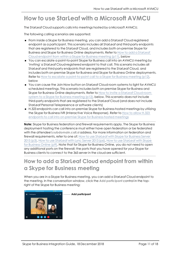# <span id="page-10-0"></span>**How to use StarLeaf with a Microsoft AVMCU**

The StarLeaf Cloud supports calls into meetings hosted by a Microsoft AVMCU.

The following calling scenarios are supported:

- <sup>n</sup> From inside a Skype for Business meeting, you can add a StarLeaf Cloud registered endpoint as a participant. This scenario includes all StarLeaf and third-party endpoints that are registered to the StarLeaf Cloud, and includes both on-premise Skype for Business and Skype for Business Online deployments. Refer to How to add a [StarLeaf](#page-10-1) Cloud [endpoint](#page-10-1) from within a Skype for Business meeting (p11), below
- <sup>n</sup> You can escalate a point-to-point Skype for Business call into an AVMCU meeting by 'inviting' a StarLeaf Cloud-registered endpoint to that call. This scenario includes all StarLeaf and third-party endpoints that are registered to the StarLeaf Cloud, and includes both on-premise Skype for Business and Skype for Business Online deployments. Refer to How to escalate a [point-to-point](#page-11-0) call to a Skype for Business meeting (p12), below
- <sup>n</sup> You can cause the Join Now button on StarLeaf Cloud room systems to light for AVMCU scheduled meetings. This scenario includes both on-premise Skype for Business and Skype for Business Online deployments. Refer to How to invite a [StarLeaf](#page-11-1) Cloud room system to a Skype for Business [meeting](#page-11-1) (p12), below. This scenario does not include third-party endpoints that are registered to the StarLeaf Cloud (and does not include StarLeaf Personal Telepresence or software clients)
- <sup>n</sup> H.323 endpoints can call into on-premise Skype for Business-hosted meetings by utilizing the Skype for Business IVR (Interactive Voice Response). Refer to How to [allow](#page-12-0) H.323 endpoints to call into on-premise Skype for [Business-hosted](#page-12-0) meetings

**Note:** Skype for Business federation and firewall requirements apply. The Skype for Business deployment hosting the conference must either have open federation or be federated with the attendee's **subdomain.call.sl** address. For more information on federation and firewall requirements, refer to one of: How to use [StarLeaf](#page-2-0) with Skype for Business Server [2015](#page-2-0) (p3), How to use [StarLeaf](#page-5-0) with Lync Server 2013 (p6), How to use [StarLeaf](#page-8-0) with Skype for [Business](#page-8-0) Online (p9). Note that for Skype for Business Online, you do not need to open any additional ports on the firewall; the ports that you have opened for your Skype for Business clients to connect to the 365 server in the cloud are sufficient.

## <span id="page-10-1"></span>**How to add a StarLeaf Cloud endpoint from within a Skype for Business meeting**

When you are in a Skype for Business meeting, you can add a StarLeaf Cloud endpoint to the meeting. In the conversation window, click the **Add participant** control in the topright of the Skype for Business meeting:



**Add participant**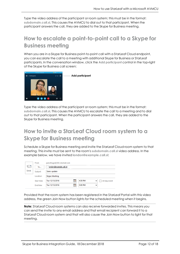<span id="page-11-0"></span>Type the video address of the participant or room system; this must be in the format: **subdomain.call.sl**. This causes the AVMCU to dial out to that participant. When the participant answers the call, they are added to the Skype for Business meeting.

## **How to escalate a point-to-point call to a Skype for Business meeting**

When you are in a Skype for Business point-to-point call with a StarLeaf Cloud endpoint, you can escalate the call to a meeting with additional Skype for Business or StarLeaf participants. In the conversation window, click the **Add participant** control in the top-right of the Skype for Business call screen:



**Add participant** 

<span id="page-11-1"></span>Type the video address of the participant or room system; this must be in the format: **subdomain.call.sl**. This causes the AVMCU to escalate the call to a meeting and to dial out to that participant. When the participant answers the call, they are added to the Skype for Business meeting.

### **How to invite a StarLeaf Cloud room system to a Skype for Business meeting**

Schedule a Skype for Business meeting and invite the StarLeaf Cloud room system to that meeting. This invite must be sent to the room's **subdomain.call.sl** video address. In the example below, we have invited **london@example.call.sl**:

|      | From            | jad.elhage@365.starleaf.com                          |
|------|-----------------|------------------------------------------------------|
| 카드의  | To              | london@example.call.sl;                              |
| Send | Subject         | Sales update                                         |
|      | Location        | Skype Meeting                                        |
|      | Start time      | 謂<br>4:30 PM<br>Tue 12/13/2016<br>All day event<br>▼ |
|      | <b>End time</b> | 謂<br>5:00 PM<br>Tue 12/13/2016<br>▼                  |

Provided that the room system has been registered in the StarLeaf Portal with this video address, the green Join Now button lights for the scheduled meeting when it begins.

**Note:** StarLeaf Cloud room systems can also receive forwarded invites. This means you can send the invite to any email address and that email recipient can forward it to a StarLeaf Cloud room system and that will also cause the Join Now button to light for that meeting.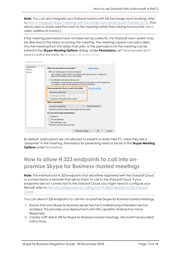**Note:** You can also integrate your StarLeaf systems with MS Exchange room booking, refer to How to integrate Skype meetings with [Exchange](#page-14-0) room booking and StarLeaf (p15). (This allows users to simply add the room to the meeting rather than having to know the **call.sl** video address of a room.)

If the meeting permissions have not been set up correctly, the StarLeaf room system may be directed to the lobby on joining the meeting. The meeting creator can add callers into the meeting from the lobby manually, or the permissions for the meeting can be edited in the **Skype Meeting Options** dialog. Under **Permissions**, set **These people don't have to wait in the lobby** to *Anyone (no restrictions)*.

| Permissions<br>Phone | Where do you want to meet online?<br>Help me decide                                                                                                                                                  |  |  |  |  |  |
|----------------------|------------------------------------------------------------------------------------------------------------------------------------------------------------------------------------------------------|--|--|--|--|--|
| About                | A new meeting space (I control permissions)<br>Each meeting I create is held in a new space with unique entry info. I choose who<br>gets in and what they can do in the meeting.                     |  |  |  |  |  |
|                      | My dedicated meeting space (less secure)<br>All meetings I create are held in the same space with the same entry info. People from<br>my company can get into the meeting at any time as presenters. |  |  |  |  |  |
|                      | These people don't have to wait in the lobby:<br>Why do I use this?                                                                                                                                  |  |  |  |  |  |
|                      | Anyone (no restrictions)                                                                                                                                                                             |  |  |  |  |  |
|                      | $\vee$ Calers get in directly                                                                                                                                                                        |  |  |  |  |  |
|                      | Announce when people enter or leave                                                                                                                                                                  |  |  |  |  |  |
|                      | Who's a presenter?                                                                                                                                                                                   |  |  |  |  |  |
|                      | Choose presenters<br>Anyone (no restrictions)                                                                                                                                                        |  |  |  |  |  |
|                      | Presenters can share content and let people into the meeting.                                                                                                                                        |  |  |  |  |  |
|                      | Do you want to limit participation?                                                                                                                                                                  |  |  |  |  |  |
|                      | Disable IM                                                                                                                                                                                           |  |  |  |  |  |
|                      | Mute all attendees                                                                                                                                                                                   |  |  |  |  |  |
|                      | Block attendees' video                                                                                                                                                                               |  |  |  |  |  |
|                      | Presenters can share audio and video.                                                                                                                                                                |  |  |  |  |  |

By default, participants are not allowed to present or share their PC unless they are a "presenter" in the meeting. Permissions for presenting need to be set in the **Skype Meeting Options** under **Permissions**.

#### <span id="page-12-0"></span>**How to allow H.323 endpoints to call into onpremise Skype for Business-hosted meetings**

**Note:** This method is for H.323 endpoints that are either registered with the StarLeaf Cloud or connected to a network that allows them to call to the StarLeaf Cloud. If your endpoints are not connected to the StarLeaf Cloud, you might need to configure your firewall; refer to Firewall configuration for calling from H.323 endpoints to the StarLeaf Cloud.

You can allow H.323 endpoints to call into on-premise Skype for Business hosted meetings.

- 1. Ensure that your Skype for Business server has the Conferencing Attendant service enabled. This provides your deployment with IVR capability (Interactive Voice Response).
- 2. Create a SIP dial-in URI for Skype for Business-hosted meetings. Microsoft has provided instructions: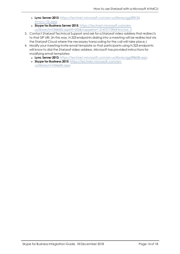- <sup>l</sup> **Lync Server 2013**: [https://technet.microsoft.com/en-us/library/gg398126](https://technet.microsoft.com/en-us/library/gg398126(v=ocs.15).aspx) [\(v=ocs.15\).aspx](https://technet.microsoft.com/en-us/library/gg398126(v=ocs.15).aspx)
- <sup>l</sup> **Skype for Business Server 2015**: [https://technet.microsoft.com/en](https://technet.microsoft.com/en-us/library/mt346050.aspx?f=255&mspperror=-2147217396#Anchor_2)[us/library/mt346050.aspx?f=255&mspperror=-2147217396#Anchor\\_2](https://technet.microsoft.com/en-us/library/mt346050.aspx?f=255&mspperror=-2147217396#Anchor_2)
- 3. Contact StarLeaf Technical Support and ask for a StarLeaf video address that redirects to that SIP URI. (In this way, H.323 endpoints dialing into a meeting will be redirected via the StarLeaf Cloud where the necessary transcoding for the call will take place.)
- 4. Modify your meeting-invite email template so that participants using H.323 endpoints will know to dial the StarLeaf video address. Microsoft has provided instructions for modifying email templates:
	- <sup>l</sup> **Lync Server 2013**: <https://technet.microsoft.com/en-us/library/gg398638.aspx>
	- <sup>l</sup> **Skype for Business 2015**: [https://technet.microsoft.com/en](https://technet.microsoft.com/en-us/library/mt426640.aspx)[us/library/mt426640.aspx](https://technet.microsoft.com/en-us/library/mt426640.aspx)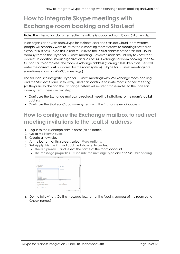# <span id="page-14-0"></span>**How to integrate Skype meetings with Exchange room booking and StarLeaf**

#### **Note:** The integration documented in this article is supported from Cloud 5.4 onwards.

In an organization with both Skype for Business users and StarLeaf Cloud room systems, people will probably want to invite those meeting room systems to meetings hosted on Skype for Business. To do this, a user must invite the **.call.sl** address of the StarLeaf Cloud room system to the Skype for Business meeting. However, users are unlikely to know that address. In addition, if your organization also uses MS Exchange for room booking, then MS Outlook auto completes the room's Exchange address (making it less likely that users will enter the correct **.call.sl** address for the room system). (Skype for Business meetings are sometimes known as AVMCU meetings.)

The solution is to integrate Skype for Business meetings with MS Exchange room booking and the StarLeaf Cloud. In this way, users can continue to invite rooms to their meetings (as they usually do) and the Exchange system will redirect those invites to the StarLeaf room system. There are two steps:

- <sup>n</sup> Configure the Exchange mailbox to redirect meeting invitations to the room's **.call.sl** address
- <span id="page-14-1"></span><sup>n</sup> Configure the StarLeaf Cloud room system with the Exchange email address

### **How to configure the Exchange mailbox to redirect meeting invitations to the '.call.sl' address**

- 1. Log in to the Exchange admin enter (as an admin).
- 2. Go to **Mail flow > Rules**.
- 3. Create a new rule.
- 4. At the bottom of this screen, select **More options**.
- 5. Set **Apply this rule if...** and add the following two rules:
	- **The recipient is... and select the name of the room account**
	- <sup>l</sup> **The message propreties...** > **include the message type** and choose **Calendaring**

|                                               | B Secure   https://outlook.office365.com/ecp/RulesEditor/NewTransportRule.aspx?ActivityCorrelationID=6c2939d9-41d |  |  |
|-----------------------------------------------|-------------------------------------------------------------------------------------------------------------------|--|--|
| new rule<br>"Apply this rule if               |                                                                                                                   |  |  |
| The recipient is<br>$\boldsymbol{\mathsf{x}}$ | 'Test Room'<br>٠                                                                                                  |  |  |
| and                                           |                                                                                                                   |  |  |
|                                               | "Selectione                                                                                                       |  |  |
| Selections:                                   |                                                                                                                   |  |  |
| The sender.                                   |                                                                                                                   |  |  |
| The recipient                                 |                                                                                                                   |  |  |
| The subject or body                           |                                                                                                                   |  |  |
| Any attachment                                |                                                                                                                   |  |  |
| Any recipient                                 |                                                                                                                   |  |  |
| The message                                   |                                                                                                                   |  |  |
| The sender and the recipient                  |                                                                                                                   |  |  |
| The message properties                        | Include the message type                                                                                          |  |  |
| A message header                              | include this classification.<br>٠                                                                                 |  |  |
|                                               | don't include any classification                                                                                  |  |  |
| Properties of this rule:                      | include an SCL greater than or equal to                                                                           |  |  |
| Audit this rule with severity level:          | include the importance level                                                                                      |  |  |
| Not specified .                               |                                                                                                                   |  |  |
| Chevron a meda fee this rule:                 |                                                                                                                   |  |  |
| <b>B</b> Galaxia                              |                                                                                                                   |  |  |

6. Do the following... Cc the message to... (enter the \*.call.sl address of the room using Check names)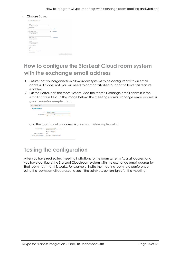#### 7. Choose **Save**.

| "Test Room"<br>٠ |                         |
|------------------|-------------------------|
|                  |                         |
| Calendaring<br>٠ |                         |
|                  |                         |
|                  |                         |
|                  |                         |
|                  |                         |
|                  |                         |
|                  |                         |
|                  |                         |
|                  |                         |
|                  | 13001@org.call.sl*<br>٠ |

#### <span id="page-15-0"></span>**How to configure the StarLeaf Cloud room system with the exchange email address**

- 1. Ensure that your organization allows room systems to be configured with an email address. If it does not, you will need to contact StarLeaf Support to have this feature enabled.
- 2. On the Portal, edit the room system. Add the room's Exchange email address in the **email address** field. In the image below, the meeting room's Exchange email address is **green.room@example.com**:

| Add room system                    |                        |  |
|------------------------------------|------------------------|--|
| $\blacktriangleright$ Meeting room |                        |  |
|                                    | Name: Green Room       |  |
| Email address:                     | green.room@example.com |  |

and the room's **.call.sl** address is **greenroom@example.call.sl**.

| Video address:       | greenroom                 | @example.call.sl |
|----------------------|---------------------------|------------------|
|                      | autocomplete              |                  |
| Directory number:    | 3001                      |                  |
| eaacy video address: | 800853001@example.call.sl |                  |
|                      |                           |                  |

#### <span id="page-15-1"></span>**Testing the configuration**

After you have redirected meeting invitations to the room system's '.call.sl' address and you have configure the StarLeaf Cloud room system with the exchange email address for that room, test that this works. For example, invite the meeting room to a conference using the room's email address and see if the Join Now button lights for the meeting.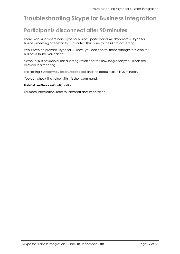# <span id="page-16-1"></span><span id="page-16-0"></span>**Troubleshooting Skype for Business integration**

### **Participants disconnect after 90 minutes**

There is an issue where non-Skype for Business participants will drop from a Skype for Business meeting after exactly 90 minutes. This is due to the Microsoft settings.

If you have on-premise Skype for Business, you can control these settings; for Skype for Business Online, you cannot.

Skype for Business Server has a setting which controls how long anonymous users are allowed in a meeting.

The setting is **AnonymousUserGracePeriod** and the default value is 90 minutes.

You can check the value with this shell command:

#### Get-CsUserServicesConfiguration

For more information, refer to Microsoft documentation.